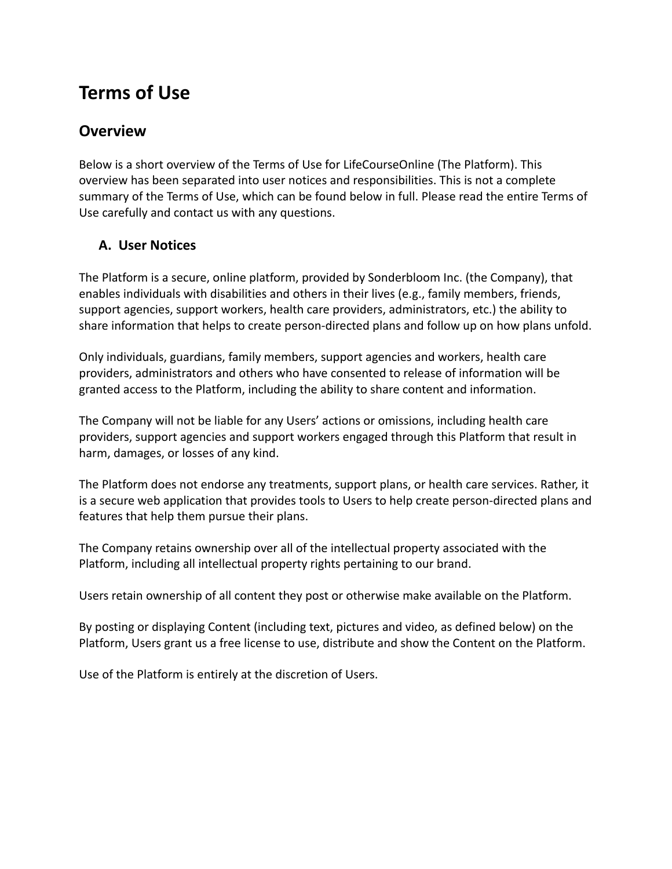# **Terms of Use**

### **Overview**

Below is a short overview of the Terms of Use for LifeCourseOnline (The Platform). This overview has been separated into user notices and responsibilities. This is not a complete summary of the Terms of Use, which can be found below in full. Please read the entire Terms of Use carefully and contact us with any questions.

#### **A. User Notices**

The Platform is a secure, online platform, provided by Sonderbloom Inc. (the Company), that enables individuals with disabilities and others in their lives (e.g., family members, friends, support agencies, support workers, health care providers, administrators, etc.) the ability to share information that helps to create person-directed plans and follow up on how plans unfold.

Only individuals, guardians, family members, support agencies and workers, health care providers, administrators and others who have consented to release of information will be granted access to the Platform, including the ability to share content and information.

The Company will not be liable for any Users' actions or omissions, including health care providers, support agencies and support workers engaged through this Platform that result in harm, damages, or losses of any kind.

The Platform does not endorse any treatments, support plans, or health care services. Rather, it is a secure web application that provides tools to Users to help create person-directed plans and features that help them pursue their plans.

The Company retains ownership over all of the intellectual property associated with the Platform, including all intellectual property rights pertaining to our brand.

Users retain ownership of all content they post or otherwise make available on the Platform.

By posting or displaying Content (including text, pictures and video, as defined below) on the Platform, Users grant us a free license to use, distribute and show the Content on the Platform.

Use of the Platform is entirely at the discretion of Users.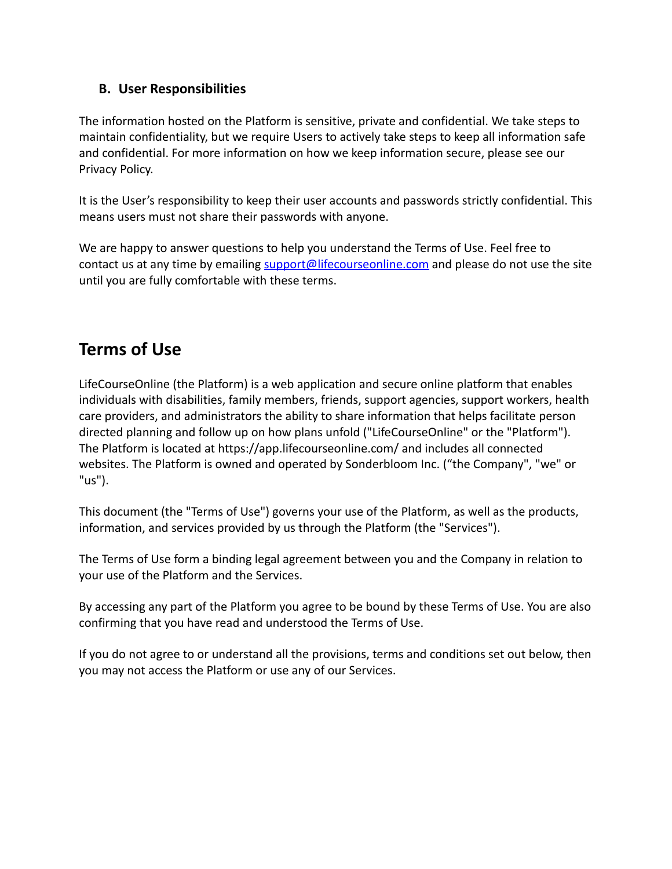#### **B. User Responsibilities**

The information hosted on the Platform is sensitive, private and confidential. We take steps to maintain confidentiality, but we require Users to actively take steps to keep all information safe and confidential. For more information on how we keep information secure, please see our Privacy Policy.

It is the User's responsibility to keep their user accounts and passwords strictly confidential. This means users must not share their passwords with anyone.

We are happy to answer questions to help you understand the Terms of Use. Feel free to contact us at any time by emailing support@lifecourseonline.com and please do not use the site until you are fully comfortable with these terms.

## **Terms of Use**

LifeCourseOnline (the Platform) is a web application and secure online platform that enables individuals with disabilities, family members, friends, support agencies, support workers, health care providers, and administrators the ability to share information that helps facilitate person directed planning and follow up on how plans unfold ("LifeCourseOnline" or the "Platform"). The Platform is located at https://app.lifecourseonline.com/ and includes all connected websites. The Platform is owned and operated by Sonderbloom Inc. ("the Company", "we" or "us").

This document (the "Terms of Use") governs your use of the Platform, as well as the products, information, and services provided by us through the Platform (the "Services").

The Terms of Use form a binding legal agreement between you and the Company in relation to your use of the Platform and the Services.

By accessing any part of the Platform you agree to be bound by these Terms of Use. You are also confirming that you have read and understood the Terms of Use.

If you do not agree to or understand all the provisions, terms and conditions set out below, then you may not access the Platform or use any of our Services.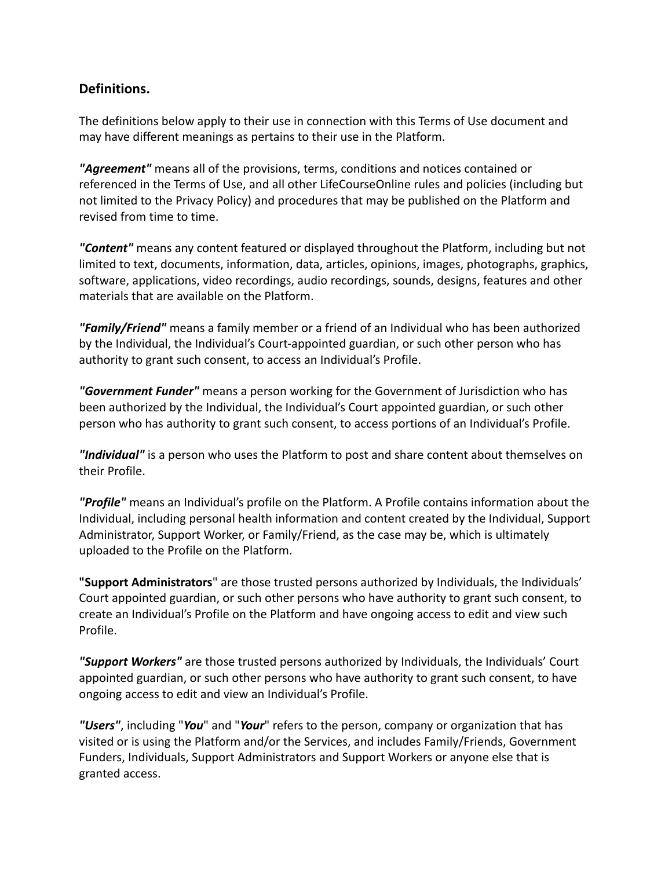#### **Definitions.**

The definitions below apply to their use in connection with this Terms of Use document and may have different meanings as pertains to their use in the Platform.

*"Agreement"* means all of the provisions, terms, conditions and notices contained or referenced in the Terms of Use, and all other LifeCourseOnline rules and policies (including but not limited to the Privacy Policy) and procedures that may be published on the Platform and revised from time to time.

*"Content"* means any content featured or displayed throughout the Platform, including but not limited to text, documents, information, data, articles, opinions, images, photographs, graphics, software, applications, video recordings, audio recordings, sounds, designs, features and other materials that are available on the Platform.

*"Family/Friend"* means a family member or a friend of an Individual who has been authorized by the Individual, the Individual's Court-appointed guardian, or such other person who has authority to grant such consent, to access an Individual's Profile.

*"Government Funder"* means a person working for the Government of Jurisdiction who has been authorized by the Individual, the Individual's Court appointed guardian, or such other person who has authority to grant such consent, to access portions of an Individual's Profile.

*"Individual"* is a person who uses the Platform to post and share content about themselves on their Profile.

*"Profile"* means an Individual's profile on the Platform. A Profile contains information about the Individual, including personal health information and content created by the Individual, Support Administrator, Support Worker, or Family/Friend, as the case may be, which is ultimately uploaded to the Profile on the Platform.

**"Support Administrators**" are those trusted persons authorized by Individuals, the Individuals' Court appointed guardian, or such other persons who have authority to grant such consent, to create an Individual's Profile on the Platform and have ongoing access to edit and view such Profile.

*"Support Workers"* are those trusted persons authorized by Individuals, the Individuals' Court appointed guardian, or such other persons who have authority to grant such consent, to have ongoing access to edit and view an Individual's Profile.

*"Users"*, including "*You*" and "*Your*" refers to the person, company or organization that has visited or is using the Platform and/or the Services, and includes Family/Friends, Government Funders, Individuals, Support Administrators and Support Workers or anyone else that is granted access.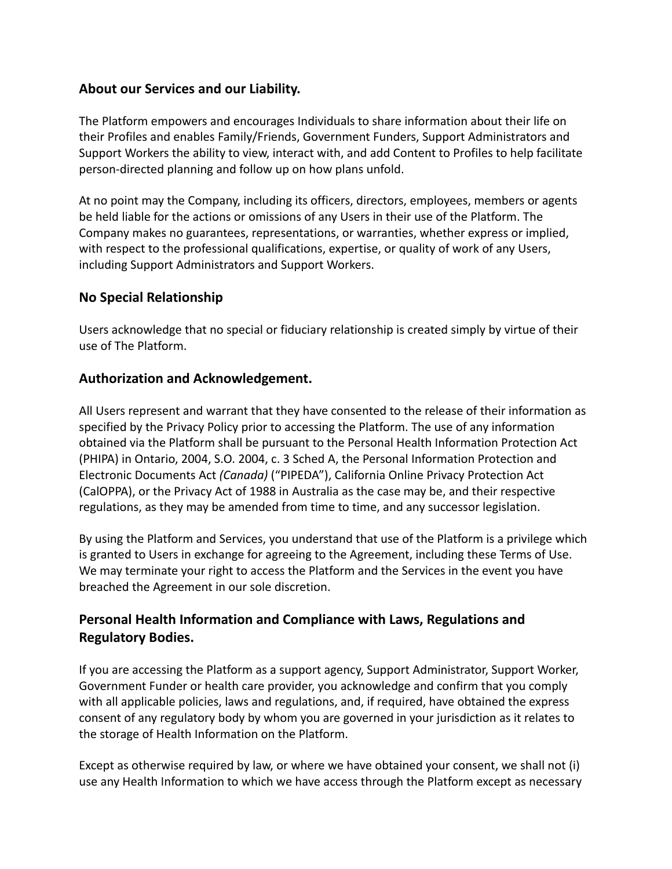#### **About our Services and our Liability.**

The Platform empowers and encourages Individuals to share information about their life on their Profiles and enables Family/Friends, Government Funders, Support Administrators and Support Workers the ability to view, interact with, and add Content to Profiles to help facilitate person-directed planning and follow up on how plans unfold.

At no point may the Company, including its officers, directors, employees, members or agents be held liable for the actions or omissions of any Users in their use of the Platform. The Company makes no guarantees, representations, or warranties, whether express or implied, with respect to the professional qualifications, expertise, or quality of work of any Users, including Support Administrators and Support Workers.

#### **No Special Relationship**

Users acknowledge that no special or fiduciary relationship is created simply by virtue of their use of The Platform.

#### **Authorization and Acknowledgement.**

All Users represent and warrant that they have consented to the release of their information as specified by the Privacy Policy prior to accessing the Platform. The use of any information obtained via the Platform shall be pursuant to the Personal Health Information Protection Act (PHIPA) in Ontario, 2004, S.O. 2004, c. 3 Sched A, the Personal Information Protection and Electronic Documents Act *(Canada)* ("PIPEDA"), California Online Privacy Protection Act (CalOPPA), or the Privacy Act of 1988 in Australia as the case may be, and their respective regulations, as they may be amended from time to time, and any successor legislation.

By using the Platform and Services, you understand that use of the Platform is a privilege which is granted to Users in exchange for agreeing to the Agreement, including these Terms of Use. We may terminate your right to access the Platform and the Services in the event you have breached the Agreement in our sole discretion.

#### **Personal Health Information and Compliance with Laws, Regulations and Regulatory Bodies.**

If you are accessing the Platform as a support agency, Support Administrator, Support Worker, Government Funder or health care provider, you acknowledge and confirm that you comply with all applicable policies, laws and regulations, and, if required, have obtained the express consent of any regulatory body by whom you are governed in your jurisdiction as it relates to the storage of Health Information on the Platform.

Except as otherwise required by law, or where we have obtained your consent, we shall not (i) use any Health Information to which we have access through the Platform except as necessary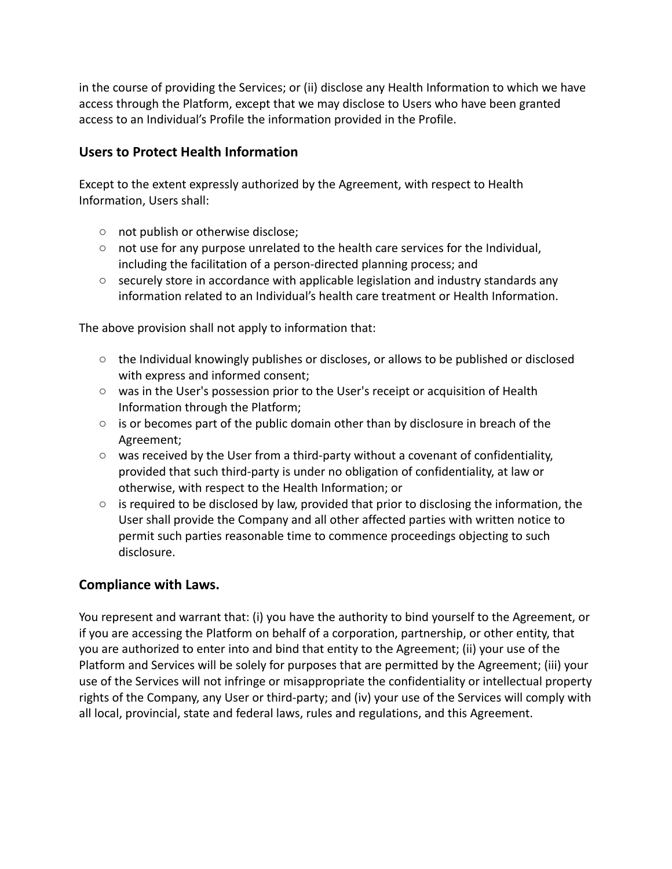in the course of providing the Services; or (ii) disclose any Health Information to which we have access through the Platform, except that we may disclose to Users who have been granted access to an Individual's Profile the information provided in the Profile.

#### **Users to Protect Health Information**

Except to the extent expressly authorized by the Agreement, with respect to Health Information, Users shall:

- not publish or otherwise disclose;
- not use for any purpose unrelated to the health care services for the Individual, including the facilitation of a person-directed planning process; and
- $\circ$  securely store in accordance with applicable legislation and industry standards any information related to an Individual's health care treatment or Health Information.

The above provision shall not apply to information that:

- $\circ$  the Individual knowingly publishes or discloses, or allows to be published or disclosed with express and informed consent;
- was in the User's possession prior to the User's receipt or acquisition of Health Information through the Platform;
- $\circ$  is or becomes part of the public domain other than by disclosure in breach of the Agreement;
- $\circ$  was received by the User from a third-party without a covenant of confidentiality, provided that such third-party is under no obligation of confidentiality, at law or otherwise, with respect to the Health Information; or
- $\circ$  is required to be disclosed by law, provided that prior to disclosing the information, the User shall provide the Company and all other affected parties with written notice to permit such parties reasonable time to commence proceedings objecting to such disclosure.

#### **Compliance with Laws.**

You represent and warrant that: (i) you have the authority to bind yourself to the Agreement, or if you are accessing the Platform on behalf of a corporation, partnership, or other entity, that you are authorized to enter into and bind that entity to the Agreement; (ii) your use of the Platform and Services will be solely for purposes that are permitted by the Agreement; (iii) your use of the Services will not infringe or misappropriate the confidentiality or intellectual property rights of the Company, any User or third-party; and (iv) your use of the Services will comply with all local, provincial, state and federal laws, rules and regulations, and this Agreement.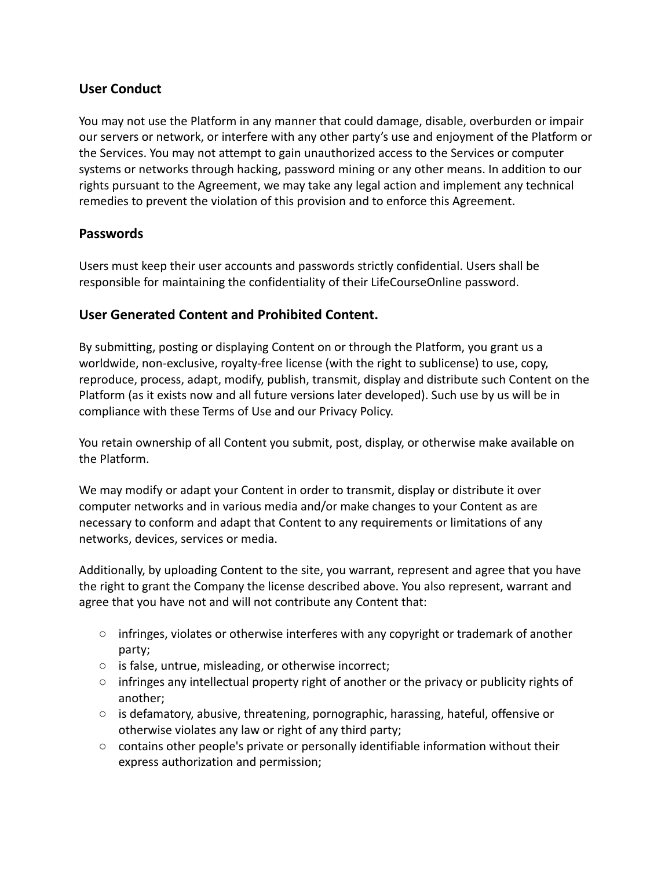#### **User Conduct**

You may not use the Platform in any manner that could damage, disable, overburden or impair our servers or network, or interfere with any other party's use and enjoyment of the Platform or the Services. You may not attempt to gain unauthorized access to the Services or computer systems or networks through hacking, password mining or any other means. In addition to our rights pursuant to the Agreement, we may take any legal action and implement any technical remedies to prevent the violation of this provision and to enforce this Agreement.

#### **Passwords**

Users must keep their user accounts and passwords strictly confidential. Users shall be responsible for maintaining the confidentiality of their LifeCourseOnline password.

#### **User Generated Content and Prohibited Content.**

By submitting, posting or displaying Content on or through the Platform, you grant us a worldwide, non-exclusive, royalty-free license (with the right to sublicense) to use, copy, reproduce, process, adapt, modify, publish, transmit, display and distribute such Content on the Platform (as it exists now and all future versions later developed). Such use by us will be in compliance with these Terms of Use and our Privacy Policy.

You retain ownership of all Content you submit, post, display, or otherwise make available on the Platform.

We may modify or adapt your Content in order to transmit, display or distribute it over computer networks and in various media and/or make changes to your Content as are necessary to conform and adapt that Content to any requirements or limitations of any networks, devices, services or media.

Additionally, by uploading Content to the site, you warrant, represent and agree that you have the right to grant the Company the license described above. You also represent, warrant and agree that you have not and will not contribute any Content that:

- infringes, violates or otherwise interferes with any copyright or trademark of another party;
- is false, untrue, misleading, or otherwise incorrect;
- infringes any intellectual property right of another or the privacy or publicity rights of another;
- $\circ$  is defamatory, abusive, threatening, pornographic, harassing, hateful, offensive or otherwise violates any law or right of any third party;
- $\circ$  contains other people's private or personally identifiable information without their express authorization and permission;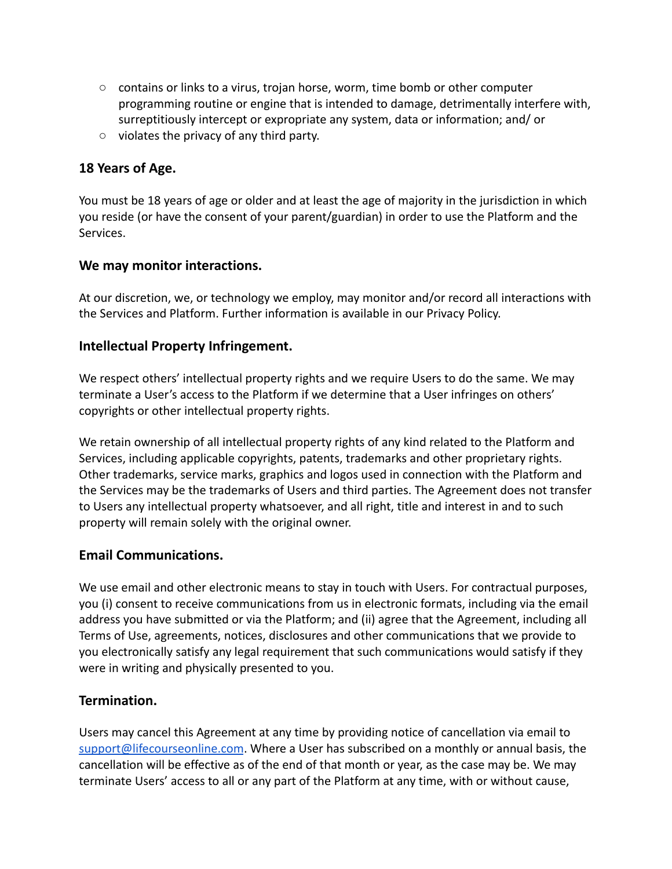- contains or links to a virus, trojan horse, worm, time bomb or other computer programming routine or engine that is intended to damage, detrimentally interfere with, surreptitiously intercept or expropriate any system, data or information; and/ or
- violates the privacy of any third party.

#### **18 Years of Age.**

You must be 18 years of age or older and at least the age of majority in the jurisdiction in which you reside (or have the consent of your parent/guardian) in order to use the Platform and the Services.

#### **We may monitor interactions.**

At our discretion, we, or technology we employ, may monitor and/or record all interactions with the Services and Platform. Further information is available in our Privacy Policy.

#### **Intellectual Property Infringement.**

We respect others' intellectual property rights and we require Users to do the same. We may terminate a User's access to the Platform if we determine that a User infringes on others' copyrights or other intellectual property rights.

We retain ownership of all intellectual property rights of any kind related to the Platform and Services, including applicable copyrights, patents, trademarks and other proprietary rights. Other trademarks, service marks, graphics and logos used in connection with the Platform and the Services may be the trademarks of Users and third parties. The Agreement does not transfer to Users any intellectual property whatsoever, and all right, title and interest in and to such property will remain solely with the original owner.

#### **Email Communications.**

We use email and other electronic means to stay in touch with Users. For contractual purposes, you (i) consent to receive communications from us in electronic formats, including via the email address you have submitted or via the Platform; and (ii) agree that the Agreement, including all Terms of Use, agreements, notices, disclosures and other communications that we provide to you electronically satisfy any legal requirement that such communications would satisfy if they were in writing and physically presented to you.

#### **Termination.**

Users may cancel this Agreement at any time by providing notice of cancellation via email to [support@lifecourseonline.com](mailto:support@lifecourseonline.com). Where a User has subscribed on a monthly or annual basis, the cancellation will be effective as of the end of that month or year, as the case may be. We may terminate Users' access to all or any part of the Platform at any time, with or without cause,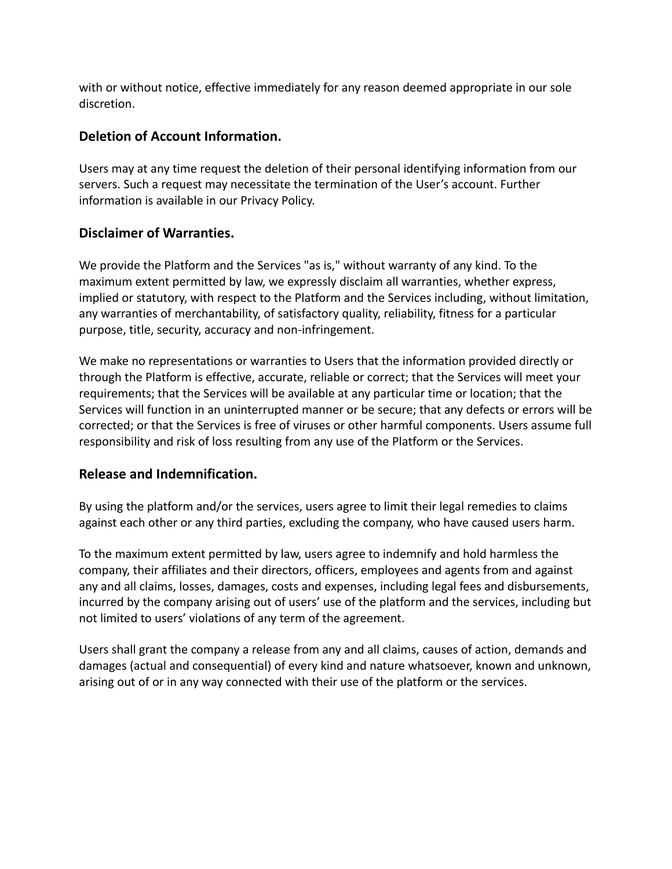with or without notice, effective immediately for any reason deemed appropriate in our sole discretion.

#### **Deletion of Account Information.**

Users may at any time request the deletion of their personal identifying information from our servers. Such a request may necessitate the termination of the User's account. Further information is available in our Privacy Policy.

#### **Disclaimer of Warranties.**

We provide the Platform and the Services "as is," without warranty of any kind. To the maximum extent permitted by law, we expressly disclaim all warranties, whether express, implied or statutory, with respect to the Platform and the Services including, without limitation, any warranties of merchantability, of satisfactory quality, reliability, fitness for a particular purpose, title, security, accuracy and non-infringement.

We make no representations or warranties to Users that the information provided directly or through the Platform is effective, accurate, reliable or correct; that the Services will meet your requirements; that the Services will be available at any particular time or location; that the Services will function in an uninterrupted manner or be secure; that any defects or errors will be corrected; or that the Services is free of viruses or other harmful components. Users assume full responsibility and risk of loss resulting from any use of the Platform or the Services.

#### **Release and Indemnification.**

By using the platform and/or the services, users agree to limit their legal remedies to claims against each other or any third parties, excluding the company, who have caused users harm.

To the maximum extent permitted by law, users agree to indemnify and hold harmless the company, their affiliates and their directors, officers, employees and agents from and against any and all claims, losses, damages, costs and expenses, including legal fees and disbursements, incurred by the company arising out of users' use of the platform and the services, including but not limited to users' violations of any term of the agreement.

Users shall grant the company a release from any and all claims, causes of action, demands and damages (actual and consequential) of every kind and nature whatsoever, known and unknown, arising out of or in any way connected with their use of the platform or the services.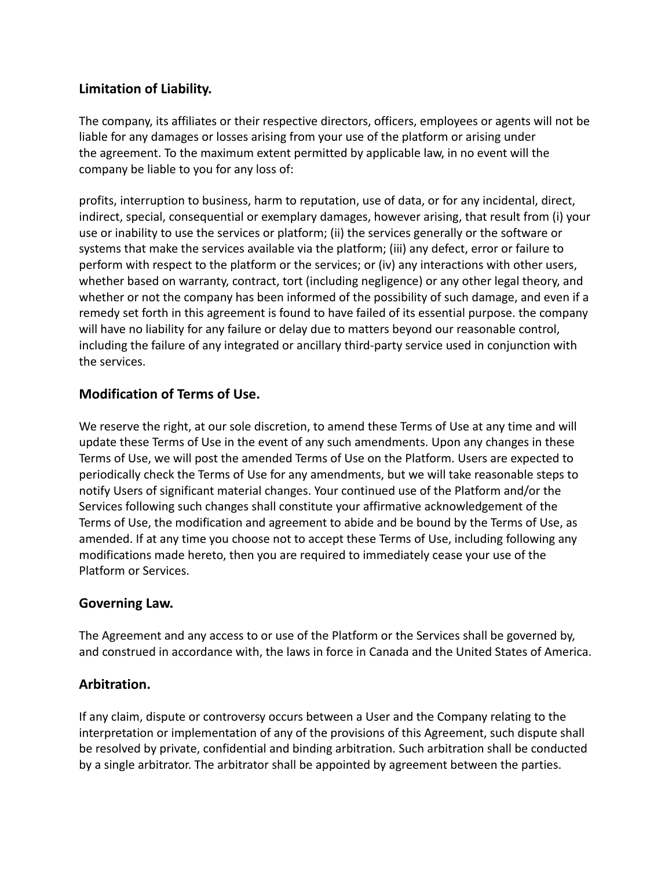#### **Limitation of Liability.**

The company, its affiliates or their respective directors, officers, employees or agents will not be liable for any damages or losses arising from your use of the platform or arising under the agreement. To the maximum extent permitted by applicable law, in no event will the company be liable to you for any loss of:

profits, interruption to business, harm to reputation, use of data, or for any incidental, direct, indirect, special, consequential or exemplary damages, however arising, that result from (i) your use or inability to use the services or platform; (ii) the services generally or the software or systems that make the services available via the platform; (iii) any defect, error or failure to perform with respect to the platform or the services; or (iv) any interactions with other users, whether based on warranty, contract, tort (including negligence) or any other legal theory, and whether or not the company has been informed of the possibility of such damage, and even if a remedy set forth in this agreement is found to have failed of its essential purpose. the company will have no liability for any failure or delay due to matters beyond our reasonable control, including the failure of any integrated or ancillary third-party service used in conjunction with the services.

#### **Modification of Terms of Use.**

We reserve the right, at our sole discretion, to amend these Terms of Use at any time and will update these Terms of Use in the event of any such amendments. Upon any changes in these Terms of Use, we will post the amended Terms of Use on the Platform. Users are expected to periodically check the Terms of Use for any amendments, but we will take reasonable steps to notify Users of significant material changes. Your continued use of the Platform and/or the Services following such changes shall constitute your affirmative acknowledgement of the Terms of Use, the modification and agreement to abide and be bound by the Terms of Use, as amended. If at any time you choose not to accept these Terms of Use, including following any modifications made hereto, then you are required to immediately cease your use of the Platform or Services.

#### **Governing Law.**

The Agreement and any access to or use of the Platform or the Services shall be governed by, and construed in accordance with, the laws in force in Canada and the United States of America.

#### **Arbitration.**

If any claim, dispute or controversy occurs between a User and the Company relating to the interpretation or implementation of any of the provisions of this Agreement, such dispute shall be resolved by private, confidential and binding arbitration. Such arbitration shall be conducted by a single arbitrator. The arbitrator shall be appointed by agreement between the parties.